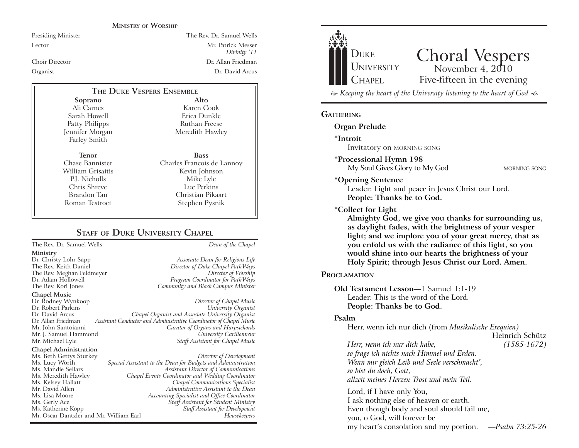#### **MINISTRY OF WORSHIP**

Presiding Minister The Rev. Dr. Samuel Wells

Lector Mr. Patrick Messer *Divinity* '11 Choir Director Dr. Allan Friedman Organist Dr. David Arcus

## **THE DUKE VESPERS ENSEMBLE**

**Soprano** Ali Carnes Sarah Howell Patty Philipps Jennifer Morgan Farley Smith

Chris Shreve Brandon Tan Roman Testroet

**Tenor** Chase Bannister William Grisaitis P.J. Nicholls

**Bass** Charles Francois de Lannoy Kevin Johnson Mike Lyle Luc Perkins Christian Pikaart Stephen Pysnik

**Alto** Karen Cook Erica Dunkle Ruthan Freese Meredith Hawley

# **STAFF** OF **DUKE UNIVERSITY CHAPEL**

The Rev. Dr. Samuel Wells *Dean of the Chapel*

- **Ministry**
- The Rev. Meghan Feldmeyer

**Chapel Music**

Dr. Rodney Wynkoop *Director of Chapel Music* Dr. David Arcus *Chapel Organist and Associate University Organist* Dr. Allan Friedman *Assistant Conductor and Administrative Coordinator of Chapel Music* Mr. J. Samuel Hammond *University Carillonneur*

#### **Chapel Administration**

Mr. Oscar Dantzler and Mr. William Earl

Dr. Christy Lohr Sapp *Associate Dean for Religious Life* The Rev. Keith Daniel *Director of Duke Chapel PathWays* Dr. Adam Hollowell *Program Coordinator for PathWays* The Rev. Kori Jones *Community and Black Campus Minister*

# $University$  *Organist* **Curator of Organs and Harpsichords Staff Assistant for Chapel Music**

Ms. Beth Gettys Sturkey *Director of Development* Ms. Lucy Worth *Special Assistant to the Dean for Budgets and Administration* Ms. Mandie Sellars *Assistant Director of Communications* Ms. Meredith Hawley *Chapel Events Coordinator and Wedding Coordinator* Ms. Kelsey Hallatt *Chapel Communications Specialist* Mr. David Allen *Administrative Assistant to the Dean* Ms. Lisa Moore *Accounting Specialist and Office Coordinator* Ms. Gerly Ace *Staff Assistant for Student Ministry* Ms. Katherine Kopp *Staff Assistant for Development*



Lord, if I have only You, I ask nothing else of heaven or earth. Even though body and soul should fail me, you, o God, will forever be my heart's consolation and my portion. *-Psalm 73:25-26* 

**Almighty God, we give you thanks for surrounding us, light; and we implore you of your great mercy, that as** 

#### **PROCLAMATION**